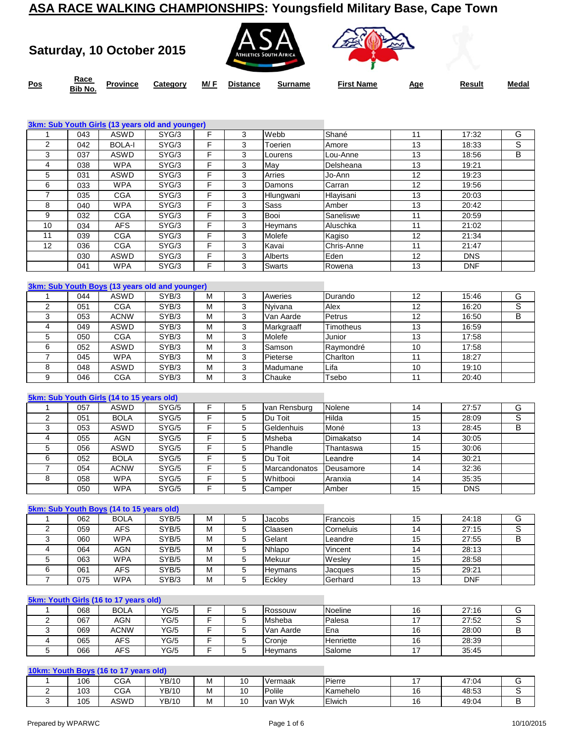**Saturday, 10 October 2015**





**Pos** Race<br>**Race Rib No.** 

**Bib No. Province Category M/ F Distance Surname First Name Age Result Medal**

|    |     |               | 3km: Sub Youth Girls (13 years old and younger) |   |   |                |            |    |            |   |
|----|-----|---------------|-------------------------------------------------|---|---|----------------|------------|----|------------|---|
|    | 043 | <b>ASWD</b>   | SYG/3                                           | F | 3 | Webb           | Shané      | 11 | 17:32      | G |
| 2  | 042 | <b>BOLA-I</b> | SYG/3                                           | F | 3 | Toerien        | Amore      | 13 | 18:33      | S |
| 3  | 037 | <b>ASWD</b>   | SYG/3                                           | F | 3 | Lourens        | Lou-Anne   | 13 | 18:56      | B |
| 4  | 038 | <b>WPA</b>    | SYG/3                                           | F | 3 | May            | Delsheana  | 13 | 19:21      |   |
| 5  | 031 | <b>ASWD</b>   | SYG/3                                           | F | 3 | Arries         | Jo-Ann     | 12 | 19:23      |   |
| 6  | 033 | <b>WPA</b>    | SYG/3                                           | F | 3 | Damons         | Carran     | 12 | 19:56      |   |
|    | 035 | <b>CGA</b>    | SYG/3                                           | F | 3 | Hlungwani      | Hlayisani  | 13 | 20:03      |   |
| 8  | 040 | <b>WPA</b>    | SYG/3                                           | F | 3 | <b>Sass</b>    | Amber      | 13 | 20:42      |   |
| 9  | 032 | <b>CGA</b>    | SYG/3                                           | F | 3 | Booi           | Saneliswe  | 11 | 20:59      |   |
| 10 | 034 | <b>AFS</b>    | SYG/3                                           | F | 3 | Heymans        | Aluschka   | 11 | 21:02      |   |
| 11 | 039 | <b>CGA</b>    | SYG/3                                           | F | 3 | Molefe         | Kagiso     | 12 | 21:34      |   |
| 12 | 036 | <b>CGA</b>    | SYG/3                                           | F | 3 | Kavai          | Chris-Anne | 11 | 21:47      |   |
|    | 030 | <b>ASWD</b>   | SYG/3                                           | F | 3 | <b>Alberts</b> | Eden       | 12 | <b>DNS</b> |   |
|    | 041 | <b>WPA</b>    | SYG/3                                           | F | 3 | Swarts         | Rowena     | 13 | <b>DNF</b> |   |
|    |     |               |                                                 |   |   |                |            |    |            |   |

|     |             | 3km: Sub Youth Boys (13 years old and younger) |   |   |            |           |    |       |   |
|-----|-------------|------------------------------------------------|---|---|------------|-----------|----|-------|---|
| 044 | <b>ASWD</b> | SYB/3                                          | м |   | Aweries    | Durando   | 12 | 15:46 | G |
| 051 | <b>CGA</b>  | SYB/3                                          | М |   | Nvivana    | Alex      | 12 | 16:20 | S |
| 053 | <b>ACNW</b> | SYB/3                                          | М |   | Van Aarde  | Petrus    | 12 | 16:50 | в |
| 049 | <b>ASWD</b> | SYB/3                                          | M |   | Markgraaff | Timotheus | 13 | 16:59 |   |
| 050 | <b>CGA</b>  | SYB/3                                          | М | 3 | Molefe     | Junior    | 13 | 17:58 |   |
| 052 | <b>ASWD</b> | SYB/3                                          | M |   | Samson     | Raymondré | 10 | 17:58 |   |
| 045 | <b>WPA</b>  | SYB/3                                          | М |   | Pieterse   | Charlton  |    | 18:27 |   |
| 048 | <b>ASWD</b> | SYB/3                                          | м |   | Madumane   | Lifa      | 10 | 19:10 |   |
| 046 | <b>CGA</b>  | SYB/3                                          | М |   | Chauke     | Tsebo     |    | 20:40 |   |

#### **5km: Sub Youth Girls (14 to 15 years old)**

| 057 | <b>ASWD</b> | SYG/5 |   | 5 | van Rensburg         | Nolene    | 14 | 27:57      | G |
|-----|-------------|-------|---|---|----------------------|-----------|----|------------|---|
| 051 | <b>BOLA</b> | SYG/5 |   | 5 | Du Toit              | Hilda     | 15 | 28:09      | S |
| 053 | <b>ASWD</b> | SYG/5 | Е | 5 | Geldenhuis           | Moné      | 13 | 28:45      | В |
| 055 | AGN         | SYG/5 | Е | 5 | <b>Msheba</b>        | Dimakatso | 14 | 30:05      |   |
| 056 | ASWD        | SYG/5 |   | 5 | Phandle              | Thantaswa | 15 | 30:06      |   |
| 052 | <b>BOLA</b> | SYG/5 | Е | 5 | Du Toit              | Leandre   | 14 | 30:21      |   |
| 054 | <b>ACNW</b> | SYG/5 |   | 5 | <b>Marcandonatos</b> | Deusamore | 14 | 32:36      |   |
| 058 | <b>WPA</b>  | SYG/5 | Е | 5 | Whitbooi             | Aranxia   | 14 | 35:35      |   |
| 050 | <b>WPA</b>  | SYG/5 | E | 5 | Camper               | Amber     | 15 | <b>DNS</b> |   |

#### **5km: Sub Youth Boys (14 to 15 years old)**

| 062 | <b>BOLA</b> | SYB/5 | м | Jacobs         | Francois  | 15 | 24:18      |  |
|-----|-------------|-------|---|----------------|-----------|----|------------|--|
| 059 | <b>AFS</b>  | SYB/5 | M | Claasen        | Corneluis |    | 27:15      |  |
| 060 | <b>WPA</b>  | SYB/5 | M | Gelant         | Leandre   | 15 | 27:55      |  |
| 064 | <b>AGN</b>  | SYB/5 | M | Nhlapo         | Vincent   |    | 28:13      |  |
| 063 | <b>WPA</b>  | SYB/5 | M | Mekuur         | Wesley    | 15 | 28:58      |  |
| 061 | AFS         | SYB/5 | M | <b>Hevmans</b> | Jacques   | 15 | 29:21      |  |
| 075 | <b>WPA</b>  | SYB/3 | м | Eckley         | Gerhard   | 13 | <b>DNF</b> |  |

#### **5km: Youth Girls (16 to 17 years old)**

| 068 | <b>BOLA</b> | YG/5 |  | Rossouw         | Noeline          | 27:16 |  |
|-----|-------------|------|--|-----------------|------------------|-------|--|
| 067 | <b>AGN</b>  | YG/5 |  | Msheba          | Palesa           | 27:52 |  |
| 069 | <b>ACNW</b> | YG/5 |  | Van Aarde       | <b>E</b> na      | 28:00 |  |
| 065 | AFS         | YG/5 |  | Cronie          | <b>Henriette</b> | 28:39 |  |
| 066 | AFS         | YG/5 |  | <b>IHevmans</b> | Salome           | 35:45 |  |

#### **10km: Youth Boys (16 to 17 years old)**

| 106 | <b>CGA</b> | YB/10        | . .<br>м | u  | Vermaak     | Pierre   | 47:04 |  |
|-----|------------|--------------|----------|----|-------------|----------|-------|--|
| 103 | CGA        | YB/10        | M        | л. | Polile      | Kamehelo | 48:53 |  |
| 105 | ASWD       | <b>YB/10</b> | M        | ╰  | Wvk<br>var. | Elwich   | 49:04 |  |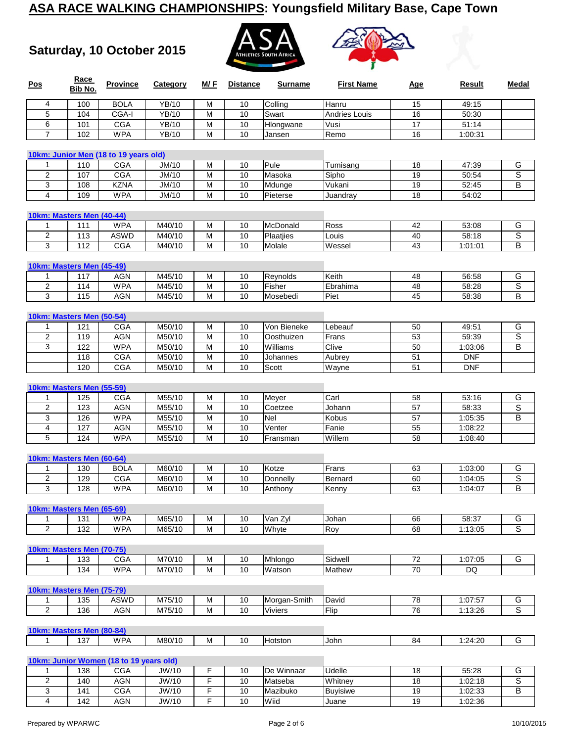**Saturday, 10 October 2015**





| Pos                 | Race<br>Bib No.                  | <b>Province</b>                         | Category     | M/F | <b>Distance</b> | <b>Surname</b>     | <b>First Name</b>    | <b>Age</b>            | Result     | Medal          |
|---------------------|----------------------------------|-----------------------------------------|--------------|-----|-----------------|--------------------|----------------------|-----------------------|------------|----------------|
| 4                   | 100                              | <b>BOLA</b>                             | YB/10        | М   | 10              | Colling            | Hanru                | 15                    | 49:15      |                |
| 5                   | 104                              | CGA-I                                   | <b>YB/10</b> | M   | 10              | Swart              | <b>Andries Louis</b> | 16                    | 50:30      |                |
| 6                   | 101                              | CGA                                     | <b>YB/10</b> | M   | 10              | Hlongwane          | Vusi                 | $\overline{17}$       | 51:14      |                |
| $\overline{7}$      | 102                              | <b>WPA</b>                              | YB/10        | M   | 10              | Jansen             | Remo                 | 16                    | 1:00:31    |                |
|                     |                                  | 10km: Junior Men (18 to 19 years old)   |              |     |                 |                    |                      |                       |            |                |
| 1                   | 110                              | <b>CGA</b>                              | JM/10        | M   | 10              | Pule               | Tumisang             | 18                    | 47:39      | G              |
| 2                   | 107                              | <b>CGA</b>                              | JM/10        | M   | 10              | Masoka             | Sipho                | 19                    | 50:54      | S              |
| 3                   | 108                              | <b>KZNA</b>                             | JM/10        | M   | 10              | Mdunge             | Vukani               | 19                    | 52:45      | B              |
| 4                   | 109                              | <b>WPA</b>                              | JM/10        | M   | 10              | Pieterse           | Juandray             | 18                    | 54:02      |                |
|                     | 10km: Masters Men (40-44)        |                                         |              |     |                 |                    |                      |                       |            |                |
| 1                   | 111                              | <b>WPA</b>                              | M40/10       | M   | 10              | McDonald           | Ross                 | 42                    | 53:08      | G              |
| $\overline{2}$      | 113                              | <b>ASWD</b>                             | M40/10       | M   | 10              | Plaatjies          | Louis                | 40                    | 58:18      | S              |
| 3                   | 112                              | <b>CGA</b>                              | M40/10       | M   | 10              | Molale             | Wessel               | 43                    | 1:01:01    | B              |
|                     |                                  |                                         |              |     |                 |                    |                      |                       |            |                |
|                     | 10km: Masters Men (45-49)        | <b>AGN</b>                              | M45/10       | M   | 10              |                    | Keith                | 48                    | 56:58      | G              |
| 1<br>$\overline{2}$ | 117                              | <b>WPA</b>                              | M45/10       | M   | 10              | Reynolds<br>Fisher | Ebrahima             | 48                    | 58:28      | S              |
| 3                   | 114<br>115                       | <b>AGN</b>                              | M45/10       | M   | 10              | Mosebedi           | Piet                 | 45                    | 58:38      | В              |
|                     |                                  |                                         |              |     |                 |                    |                      |                       |            |                |
|                     | 10km: Masters Men (50-54)        |                                         |              |     |                 |                    |                      |                       |            |                |
| 1                   | 121                              | <b>CGA</b>                              | M50/10       | M   | 10              | Von Bieneke        | Lebeauf              | 50                    | 49:51      | G              |
| $\overline{2}$      | 119                              | <b>AGN</b>                              | M50/10       | M   | 10              | Oosthuizen         | Frans                | 53                    | 59:39      | S              |
| 3                   | 122                              | <b>WPA</b>                              | M50/10       | M   | 10              | Williams           | Clive                | 50                    | 1:03:06    | B              |
|                     | 118                              | CGA                                     | M50/10       | M   | 10              | Johannes           | Aubrey               | 51                    | <b>DNF</b> |                |
|                     | 120                              | CGA                                     | M50/10       | M   | 10              | Scott              | Wayne                | 51                    | <b>DNF</b> |                |
|                     | 10km: Masters Men (55-59)        |                                         |              |     |                 |                    |                      |                       |            |                |
| 1                   | 125                              | <b>CGA</b>                              | M55/10       | M   | 10              | Meyer              | Carl                 | 58                    | 53:16      | G              |
| 2                   | 123                              | <b>AGN</b>                              | M55/10       | M   | 10              | Coetzee            | Johann               | 57                    | 58:33      | S              |
| 3                   | 126                              | <b>WPA</b>                              | M55/10       | M   | 10              | Nel                | Kobus                | $\overline{57}$       | 1:05:35    | B              |
| 4                   | 127                              | <b>AGN</b>                              | M55/10       | M   | 10              | Venter             | Fanie                | 55                    | 1:08:22    |                |
| 5                   | 124                              | <b>WPA</b>                              | M55/10       | M   | 10              | Fransman           | Willem               | 58                    | 1:08:40    |                |
|                     | 10km: Masters Men (60-64)        |                                         |              |     |                 |                    |                      |                       |            |                |
| 1                   | 130                              | <b>BOLA</b>                             | M60/10       | M   | 10              | Kotze              | Frans                | 63                    | 1:03:00    | G              |
| $\overline{2}$      | 129                              | <b>CGA</b>                              | M60/10       | M   | 10              | Donnelly           | Bernard              | 60                    | 1:04:05    | S              |
| 3                   | 128                              | <b>WPA</b>                              | M60/10       | M   | 10              | Anthony            | Kenny                | 63                    | 1:04:07    | B              |
|                     |                                  |                                         |              |     |                 |                    |                      |                       |            |                |
| 1                   | 10km: Masters Men (65-69)<br>131 | <b>WPA</b>                              | M65/10       | M   | 10              | Van Zyl            | Johan                | 66                    | 58:37      | G              |
| $\overline{2}$      | 132                              | <b>WPA</b>                              | M65/10       | М   | 10              | Whyte              | Roy                  | 68                    | 1:13:05    | $\overline{s}$ |
|                     |                                  |                                         |              |     |                 |                    |                      |                       |            |                |
|                     | 10km: Masters Men (70-75)        |                                         |              |     |                 |                    |                      |                       |            |                |
| 1                   | 133                              | <b>CGA</b>                              | M70/10       | M   | 10              | Mhlongo            | Sidwell              | 72<br>$\overline{70}$ | 1:07:05    | G              |
|                     | 134                              | <b>WPA</b>                              | M70/10       | M   | 10              | Watson             | Mathew               |                       | DQ         |                |
|                     | <b>10km: Masters Men (75-79)</b> |                                         |              |     |                 |                    |                      |                       |            |                |
| 1                   | 135                              | ASWD                                    | M75/10       | M   | 10              | Morgan-Smith       | David                | 78                    | 1:07:57    | G              |
| $\overline{2}$      | 136                              | AGN                                     | M75/10       | M   | 10              | Viviers            | Flip                 | 76                    | 1:13:26    | $\overline{s}$ |
|                     | 10km: Masters Men (80-84)        |                                         |              |     |                 |                    |                      |                       |            |                |
| $\mathbf{1}$        | 137                              | <b>WPA</b>                              | M80/10       | M   | 10              | Hotston            | John                 | 84                    | 1:24:20    | G              |
|                     |                                  |                                         |              |     |                 |                    |                      |                       |            |                |
|                     |                                  | 10km: Junior Women (18 to 19 years old) |              |     |                 |                    |                      |                       |            |                |
| $\mathbf{1}$        | 138                              | <b>CGA</b>                              | JW/10        | F   | 10              | De Winnaar         | Udelle               | 18                    | 55:28      | G              |

2 | 140 | AGN | JW/10 | F | 10 |Matseba | Whitney | 18 | 1:02:18 | S 141 CGA JW/10 F 10 Mazibuko Buyisiwe 19 1:02:33 B

4 | 142 | AGN | JW/10 | F | 10 |Wiid |Juane | 19 | 1:02:36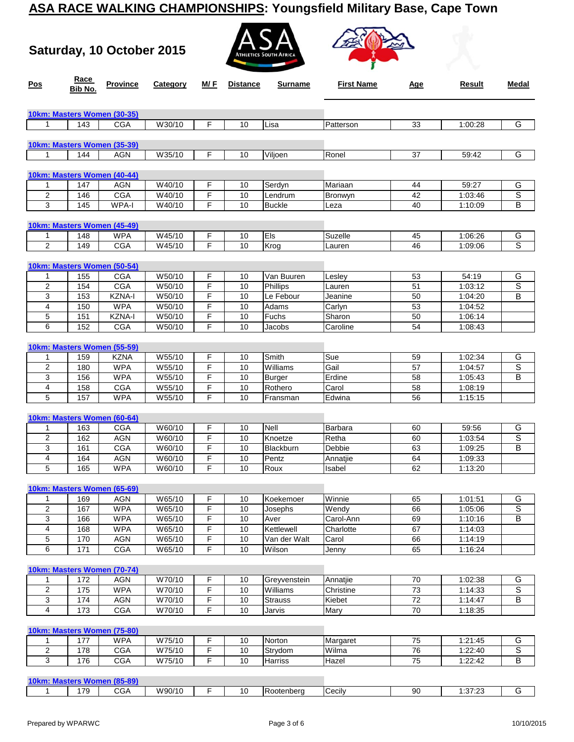**Saturday, 10 October 2015**





| Pos                     | Race<br>Bib No. | <b>Province</b>             | Category             | M/ F   | <b>Distance</b> | <b>Surname</b> | <b>First Name</b>  | <u>Age</u>      | Result             | Medal          |
|-------------------------|-----------------|-----------------------------|----------------------|--------|-----------------|----------------|--------------------|-----------------|--------------------|----------------|
|                         |                 | 10km: Masters Women (30-35) |                      |        |                 |                |                    |                 |                    |                |
| 1                       | 143             | CGA                         | W30/10               | F      | 10              | Lisa           | Patterson          | 33              | 1:00:28            | G              |
|                         |                 |                             |                      |        |                 |                |                    |                 |                    |                |
|                         |                 | 10km: Masters Women (35-39) |                      |        |                 |                |                    |                 |                    |                |
| 1                       | 144             | AGN                         | W35/10               | F      | 10              | Viljoen        | Ronel              | 37              | 59:42              | G              |
|                         |                 |                             |                      |        |                 |                |                    |                 |                    |                |
|                         |                 | 10km: Masters Women (40-44) |                      |        |                 |                |                    |                 |                    |                |
| 1                       | 147             | <b>AGN</b>                  | W40/10               | F      | 10              | Serdyn         | Mariaan            | 44              | 59:27              | G              |
| 2                       | 146             | <b>CGA</b>                  | W40/10               | F      | 10              | Lendrum        | Bronwyn            | 42              | 1:03:46            | S              |
| 3                       | 145             | WPA-I                       | W40/10               | F      | 10              | <b>Buckle</b>  | Leza               | 40              | 1:10:09            | B              |
|                         |                 | 10km: Masters Women (45-49) |                      |        |                 |                |                    |                 |                    |                |
| 1                       | 148             | <b>WPA</b>                  | W45/10               | F      | 10              | Els            | Suzelle            | 45              | 1:06:26            | G              |
| 2                       | 149             | <b>CGA</b>                  | W45/10               | F      | 10              | Krog           | Lauren             | 46              | 1:09:06            | S              |
|                         |                 |                             |                      |        |                 |                |                    |                 |                    |                |
|                         |                 | 10km: Masters Women (50-54) |                      |        |                 |                |                    |                 |                    |                |
| 1                       | 155             | CGA                         | W50/10               | F      | 10              | Van Buuren     | Lesley             | 53              | 54:19              | G              |
| 2                       | 154             | <b>CGA</b>                  | W50/10               | F      | 10              | Phillips       | Lauren             | 51              | 1:03:12            | S              |
| 3                       | 153             | KZNA-I                      | W50/10               | F      | 10              | Le Febour      | Jeanine            | 50              | 1:04:20            | B              |
| 4                       | 150             | <b>WPA</b>                  | W50/10               | F      | 10              | Adams          | Carlyn             | 53              | 1:04:52            |                |
| 5                       | 151             | <b>KZNA-I</b>               | W50/10               | F      | 10              | Fuchs          | Sharon             | 50              | 1:06:14            |                |
| 6                       | 152             | <b>CGA</b>                  | W50/10               | F      | 10              | Jacobs         | Caroline           | 54              | 1:08:43            |                |
|                         |                 | 10km: Masters Women (55-59) |                      |        |                 |                |                    |                 |                    |                |
| 1                       | 159             | KZNA                        | W55/10               | F      | 10              | Smith          | Sue                | 59              | 1:02:34            | G              |
| $\boldsymbol{2}$        | 180             | <b>WPA</b>                  | W55/10               | F      | 10              | Williams       | Gail               | 57              | 1:04:57            | S              |
| 3                       | 156             | <b>WPA</b>                  | W55/10               | F      | 10              | Burger         | Erdine             | 58              | 1:05:43            | B              |
| 4                       | 158             | <b>CGA</b>                  | W55/10               | F      | 10              | Rothero        | Carol              | 58              | 1:08:19            |                |
| 5                       | 157             | <b>WPA</b>                  | W55/10               | F      | 10              | Fransman       | Edwina             | 56              | 1:15:15            |                |
|                         |                 |                             |                      |        |                 |                |                    |                 |                    |                |
|                         |                 | 10km: Masters Women (60-64) |                      |        |                 |                |                    |                 |                    |                |
| 1                       | 163             | <b>CGA</b>                  | W60/10               | F      | 10              | Nell           | Barbara            | 60              | 59:56              | G              |
| 2                       | 162             | <b>AGN</b>                  | W60/10               | F      | 10              | Knoetze        | Retha              | 60              | 1:03:54            | S              |
| 3<br>4                  | 161             | <b>CGA</b>                  | W60/10               | F      | 10              | Blackburn      | Debbie             | 63              | 1:09:25            | B              |
| 5                       | 164<br>165      | <b>AGN</b><br><b>WPA</b>    | W60/10<br>W60/10     | F<br>F | 10<br>10        | Pentz<br>Roux  | Annatjie<br>Isabel | 64<br>62        | 1:09:33<br>1:13:20 |                |
|                         |                 |                             |                      |        |                 |                |                    |                 |                    |                |
|                         |                 | 10km: Masters Women (65-69) |                      |        |                 |                |                    |                 |                    |                |
| 1                       | 169             | <b>AGN</b>                  | W65/10               | F      | 10              | Koekemoer      | Winnie             | 65              | 1:01:51            | G              |
| $\overline{c}$          | 167             | <b>WPA</b>                  | W65/10               | F      | 10              | Josephs        | Wendy              | 66              | 1:05:06            | $\overline{s}$ |
| 3                       | 166             | <b>WPA</b>                  | W65/10               | F      | 10              | Aver           | Carol-Ann          | 69              | 1:10:16            | B              |
| 4                       | 168             | <b>WPA</b>                  | $\overline{W}$ 65/10 | F      | 10              | Kettlewell     | Charlotte          | 67              | 1:14:03            |                |
| 5                       | 170             | <b>AGN</b>                  | W65/10               | F      | 10              | Van der Walt   | Carol              | 66              | 1:14:19            |                |
| 6                       | 171             | CGA                         | W65/10               | F      | 10              | Wilson         | Jenny              | 65              | 1:16:24            |                |
|                         |                 |                             |                      |        |                 |                |                    |                 |                    |                |
|                         |                 | 10km: Masters Women (70-74) |                      |        |                 |                |                    |                 |                    |                |
| 1                       | 172             | <b>AGN</b>                  | W70/10               | F      | 10              | Greyvenstein   | Annatjie           | 70              | 1:02:38            | G              |
| $\overline{\mathbf{c}}$ | 175             | <b>WPA</b>                  | W70/10               | F      | 10              | Williams       | Christine          | 73              | 1:14:33            | S              |
| $\overline{3}$          | 174             | AGN                         | W70/10               | F      | 10              | <b>Strauss</b> | Kiebet             | $72\,$          | 1:14:47            | B              |
| 4                       | 173             | <b>CGA</b>                  | W70/10               | F      | 10              | Jarvis         | Mary               | $\overline{70}$ | 1:18:35            |                |
|                         |                 | 10km: Masters Women (75-80) |                      |        |                 |                |                    |                 |                    |                |
| 1                       | 177             | <b>WPA</b>                  | W75/10               | F      | 10              | Norton         | Margaret           | 75              | 1:21:45            | G              |
| 2                       | 178             | <b>CGA</b>                  | W75/10               | F      | 10              | Strydom        | Wilma              | 76              | 1:22:40            | $\overline{s}$ |
| 3                       | 176             | <b>CGA</b>                  | W75/10               | F      | 10              | Harriss        | Hazel              | 75              | 1:22:42            | $\overline{B}$ |
|                         |                 |                             |                      |        |                 |                |                    |                 |                    |                |
|                         |                 | 10km: Masters Women (85-89) |                      |        |                 |                |                    |                 |                    |                |
| $\mathbf{1}$            | 179             | CGA                         | W90/10               | F      | $10\,$          | Rootenberg     | Cecily             | $90\,$          | 1:37:23            | G              |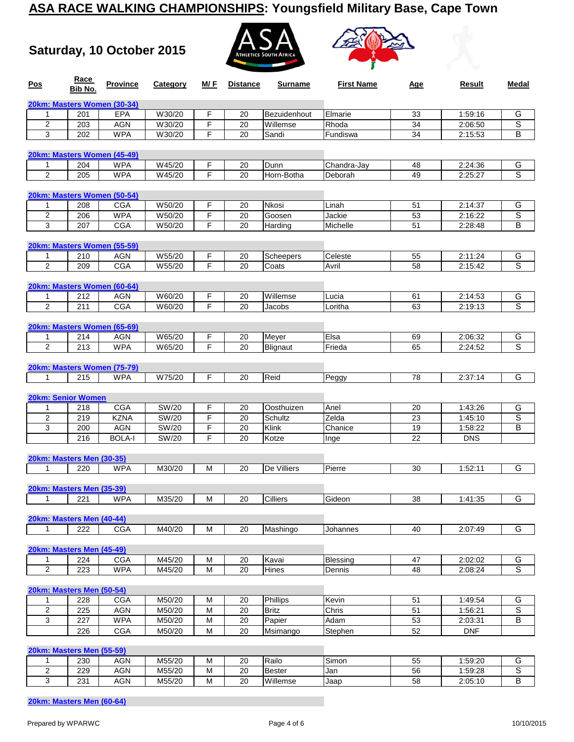**Saturday, 10 October 2015**





| Pos                                       | Race<br>Bib No. | <b>Province</b>             | Category         | M/F    | <b>Distance</b> | Surname           | <b>First Name</b> | <u>Age</u>      | Result             | Medal                   |
|-------------------------------------------|-----------------|-----------------------------|------------------|--------|-----------------|-------------------|-------------------|-----------------|--------------------|-------------------------|
|                                           |                 | 20km: Masters Women (30-34) |                  |        |                 |                   |                   |                 |                    |                         |
| 1                                         | 201             | <b>EPA</b>                  | W30/20           | F      | 20              | Bezuidenhout      | Elmarie           | 33              | 1:59:16            | G                       |
| 2                                         | 203             | <b>AGN</b>                  | W30/20           | F      | 20              | Willemse          | Rhoda             | 34              | 2:06:50            | S                       |
| 3                                         | 202             | <b>WPA</b>                  | W30/20           | F      | 20              | Sandi             | Fundiswa          | 34              | 2:15:53            | В                       |
|                                           |                 | 20km: Masters Women (45-49) |                  |        |                 |                   |                   |                 |                    |                         |
| $\mathbf{1}$                              | 204             | <b>WPA</b>                  | W45/20           | F      | 20              | Dunn              | Chandra-Jay       | 48              | 2:24:36            | G                       |
| $\overline{2}$                            | 205             | <b>WPA</b>                  | W45/20           | F      | 20              | Horn-Botha        | Deborah           | 49              | 2:25:27            | S                       |
|                                           |                 | 20km: Masters Women (50-54) |                  |        |                 |                   |                   |                 |                    |                         |
| 1                                         | 208             | <b>CGA</b>                  | W50/20           | F      | 20              | Nkosi             | Linah             | 51              | 2:14:37            | G                       |
| $\overline{\mathbf{c}}$                   | 206             | <b>WPA</b>                  | W50/20           | F      | 20              | Goosen            | Jackie            | 53              | 2:16:22            | $\overline{\mathsf{s}}$ |
| 3                                         | 207             | <b>CGA</b>                  | W50/20           | F      | 20              | Harding           | Michelle          | 51              | 2:28:48            | в                       |
|                                           |                 | 20km: Masters Women (55-59) |                  |        |                 |                   |                   |                 |                    |                         |
| $\mathbf{1}$                              | 210             | <b>AGN</b>                  | W55/20           | F      | 20              | Scheepers         | Celeste           | 55              | 2:11:24            | G                       |
| $\overline{c}$                            | 209             | CGA                         | W55/20           | F      | 20              | Coats             | Avril             | 58              | 2:15:42            | ड                       |
|                                           |                 | 20km: Masters Women (60-64) |                  |        |                 |                   |                   |                 |                    |                         |
| 1                                         | 212             | AGN                         | W60/20           | F      | 20              | Willemse          | Lucia             | 61              | 2:14:53            | G                       |
| $\overline{2}$                            | 211             | <b>CGA</b>                  | W60/20           | F      | 20              | Jacobs            | Loritha           | 63              | 2:19:13            | S                       |
|                                           |                 |                             |                  |        |                 |                   |                   |                 |                    |                         |
|                                           |                 | 20km: Masters Women (65-69) |                  |        |                 |                   |                   |                 |                    |                         |
| 1<br>$\overline{2}$                       | 214<br>213      | AGN<br><b>WPA</b>           | W65/20<br>W65/20 | F<br>F | 20<br>20        | Meyer<br>Blignaut | Elsa<br>Frieda    | 69<br>65        | 2:06:32<br>2:24:52 | G<br>S                  |
|                                           |                 |                             |                  |        |                 |                   |                   |                 |                    |                         |
|                                           |                 | 20km: Masters Women (75-79) |                  |        |                 |                   |                   |                 |                    |                         |
| 1                                         | 215             | <b>WPA</b>                  | W75/20           | F      | 20              | Reid              | Peggy             | 78              | 2:37:14            | G                       |
|                                           |                 |                             |                  |        |                 |                   |                   |                 |                    |                         |
| 20km: Senior Women                        |                 |                             |                  |        |                 |                   |                   |                 |                    |                         |
| 1                                         | 218             | <b>CGA</b>                  | SW/20            | F      | 20              | Oosthuizen        | Anel              | 20              | 1:43:26            | G                       |
| $\overline{2}$                            | 219             | <b>KZNA</b>                 | <b>SW/20</b>     | F      | 20              | Schultz           | Zelda             | $\overline{23}$ | 1:45:10            | s                       |
| 3                                         | 200             | <b>AGN</b>                  | SW/20            | F      | 20              | Klink             | Chanice           | 19              | 1:58:22            | B                       |
|                                           | 216             | <b>BOLA-I</b>               | SW/20            | F      | 20              | Kotze             | Inge              | 22              | <b>DNS</b>         |                         |
| 20km: Masters Men (30-35)                 |                 |                             |                  |        |                 |                   |                   |                 |                    |                         |
| 1                                         | 220             | <b>WPA</b>                  | M30/20           | M      | 20              | De Villiers       | Pierre            | 30              | 1:52:11            | G                       |
| 20km: Masters Men (35-39)                 |                 |                             |                  |        |                 |                   |                   |                 |                    |                         |
| 1                                         | 221             | <b>WPA</b>                  | M35/20           | M      | 20              | Cilliers          | Gideon            | 38              | 1:41:35            | G                       |
|                                           |                 |                             |                  |        |                 |                   |                   |                 |                    |                         |
| 20km: Masters Men (40-44)<br>$\mathbf{1}$ | 222             | <b>CGA</b>                  | M40/20           | M      | 20              |                   |                   | 40              | 2:07:49            | G                       |
|                                           |                 |                             |                  |        |                 | Mashingo          | Johannes          |                 |                    |                         |
| 20km: Masters Men (45-49)                 |                 |                             |                  |        |                 |                   |                   |                 |                    |                         |
| 1                                         | 224             | <b>CGA</b>                  | M45/20           | M      | 20              | Kavai             | Blessing          | 47              | 2:02:02            | G                       |
| $\overline{2}$                            | 223             | <b>WPA</b>                  | M45/20           | M      | $\overline{20}$ | Hines             | Dennis            | 48              | 2:08:24            | ड                       |
| 20km: Masters Men (50-54)                 |                 |                             |                  |        |                 |                   |                   |                 |                    |                         |
| 1                                         | 228             | <b>CGA</b>                  | M50/20           | M      | 20              | Phillips          | Kevin             | 51              | 1:49:54            | G                       |
| $\overline{2}$                            | 225             | <b>AGN</b>                  | M50/20           | M      | 20              | <b>Britz</b>      | Chris             | 51              | 1:56:21            | $\overline{s}$          |
| 3                                         | 227             | <b>WPA</b>                  | M50/20           | M      | $\overline{20}$ | Papier            | Adam              | 53              | 2:03:31            | B                       |
|                                           | 226             | CGA                         | M50/20           | M      | 20              | Msimango          | Stephen           | 52              | <b>DNF</b>         |                         |
| 20km: Masters Men (55-59)                 |                 |                             |                  |        |                 |                   |                   |                 |                    |                         |
|                                           |                 |                             |                  |        |                 |                   |                   |                 |                    |                         |

1 | 230 | AGN | M55/20 | M | 20 |Railo | Simon | 55 | 1:59:20 | G 2 | 229 | AGN | M55/20 | M | 20 |Bester Jan | 56 | 1:59:28 | S 3 | 231 | AGN | M55/20 | M | 20 |Willemse | Jaap | 58 | 2:05:10 | B

**20km: Masters Men (60-64)**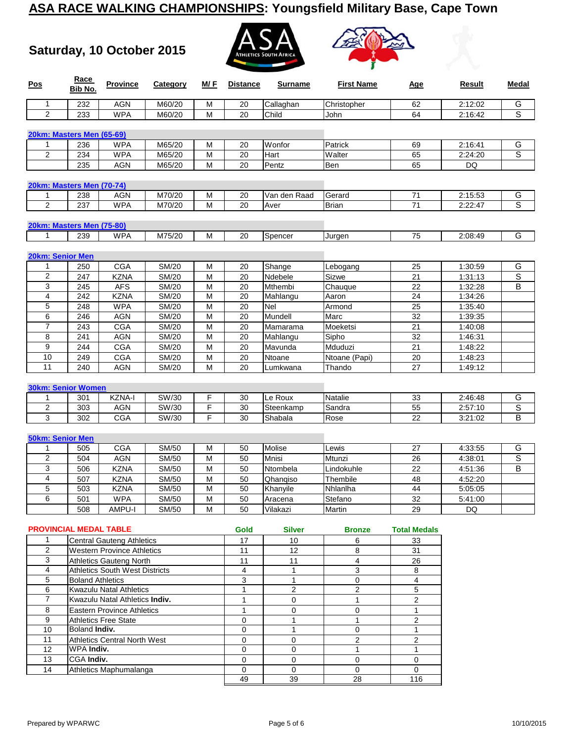**Saturday, 10 October 2015**





| <b>Pos</b>                    | Race<br>Bib No.         | <b>Province</b>                       | Category       | M/F    | <b>Distance</b> | <b>Surname</b> | <b>First Name</b> | <u>Age</u>          | Result             | Medal          |
|-------------------------------|-------------------------|---------------------------------------|----------------|--------|-----------------|----------------|-------------------|---------------------|--------------------|----------------|
| 1                             | 232                     | <b>AGN</b>                            | M60/20         | М      | 20              | Callaghan      | Christopher       | 62                  | 2:12:02            | G              |
| $\overline{2}$                | 233                     | <b>WPA</b>                            | M60/20         | M      | 20              | Child          | John              | 64                  | 2:16:42            | $\overline{s}$ |
| 20km: Masters Men (65-69)     |                         |                                       |                |        |                 |                |                   |                     |                    |                |
| 1                             | 236                     | <b>WPA</b>                            | M65/20         | M      | 20              | Wonfor         | Patrick           | 69                  | 2:16:41            | G              |
| 2                             | 234                     | <b>WPA</b>                            | M65/20         | M      | 20              | Hart           | Walter            | 65                  | 2:24:20            | S              |
|                               | 235                     | <b>AGN</b>                            | M65/20         | M      | 20              | Pentz          | Ben               | 65                  | DQ                 |                |
| 20km: Masters Men (70-74)     |                         |                                       |                |        |                 |                |                   |                     |                    |                |
| 1                             | 238                     | <b>AGN</b>                            | M70/20         | M      | 20              | Van den Raad   | Gerard            | 71                  | 2:15:53            | G              |
| 2                             | 237                     | <b>WPA</b>                            | M70/20         | M      | 20              | Aver           | <b>Brian</b>      | 71                  | 2:22:47            | S              |
| 20km: Masters Men (75-80)     |                         |                                       |                |        |                 |                |                   |                     |                    |                |
| $\mathbf{1}$                  | 239                     | <b>WPA</b>                            | M75/20         | M      | 20              | Spencer        | Jurgen            | 75                  | 2:08:49            | G              |
| 20km: Senior Men              |                         |                                       |                |        |                 |                |                   |                     |                    |                |
| 1                             | 250                     | <b>CGA</b>                            | SM/20          | M      | 20              | Shange         | Lebogang          | 25                  | 1:30:59            | G              |
| 2                             | 247                     | <b>KZNA</b>                           | SM/20          | M      | 20              | Ndebele        | Sizwe             | 21                  | 1:31:13            | $\mathbb S$    |
| 3                             |                         |                                       |                |        |                 |                |                   |                     |                    | B              |
| 4                             | 245<br>242              | <b>AFS</b><br><b>KZNA</b>             | SM/20<br>SM/20 | M<br>M | 20<br>20        | Mthembi        | Chauque           | 22<br>24            | 1:32:28<br>1:34:26 |                |
|                               |                         |                                       |                |        |                 | Mahlangu       | Aaron             |                     |                    |                |
| 5                             | 248                     | <b>WPA</b>                            | SM/20          | M      | 20              | Nel            | Armond            | 25                  | 1:35:40            |                |
| 6                             | 246                     | <b>AGN</b>                            | SM/20          | M      | 20              | Mundell        | Marc              | 32                  | 1:39:35            |                |
| $\overline{\mathcal{I}}$      | 243                     | CGA                                   | SM/20          | M      | 20              | Mamarama       | Moeketsi          | $\overline{21}$     | 1:40:08            |                |
| 8                             | 241                     | <b>AGN</b>                            | SM/20          | M      | 20              | Mahlangu       | Sipho             | 32                  | 1:46:31            |                |
| 9                             | 244                     | <b>CGA</b>                            | SM/20          | M      | 20              | Mavunda        | Mduduzi           | 21                  | 1:48:22            |                |
| 10                            | 249                     | CGA                                   | SM/20          | M      | 20              | Ntoane         | Ntoane (Papi)     | 20                  | 1:48:23            |                |
| 11                            | 240                     | <b>AGN</b>                            | SM/20          | M      | 20              | Lumkwana       | Thando            | 27                  | 1:49:12            |                |
| <b>30km: Senior Women</b>     |                         |                                       |                |        |                 |                |                   |                     |                    |                |
| 1                             | 301                     | KZNA-I                                | SW/30          | F      | 30              | Le Roux        | Natalie           | 33                  | 2:46:48            | G              |
| 2                             | 303                     | <b>AGN</b>                            | SW/30          | F      | 30              | Steenkamp      | Sandra            | 55                  | 2:57:10            | $\overline{s}$ |
| 3                             | 302                     | <b>CGA</b>                            | SW/30          | F      | 30              | Shabala        | Rose              | 22                  | 3:21:02            | В              |
| <b>50km: Senior Men</b>       |                         |                                       |                |        |                 |                |                   |                     |                    |                |
| 1                             | 505                     | <b>CGA</b>                            | SM/50          | M      | 50              | Molise         | Lewis             | 27                  | 4:33:55            | G              |
| 2                             | 504                     | <b>AGN</b>                            | SM/50          | M      | 50              | Mnisi          | Mtunzi            | 26                  | 4:38:01            | $\overline{s}$ |
| 3                             | 506                     | <b>KZNA</b>                           | SM/50          | M      | 50              | Ntombela       | Lindokuhle        | 22                  | 4:51:36            | В              |
| $\overline{\mathbf{4}}$       | 507                     | <b>KZNA</b>                           | SM/50          | M      | 50              | Qhangiso       | Thembile          | 48                  | 4:52:20            |                |
| 5                             | 503                     | <b>KZNA</b>                           | SM/50          | M      | 50              | Khanyile       | Nhlanlha          | 44                  | 5:05:05            |                |
| 6                             | 501                     | <b>WPA</b>                            | SM/50          | м      | 50              | Aracena        | Stefano           | 32                  | 5:41:00            |                |
|                               | 508                     | AMPU-I                                | SM/50          | М      | 50              | Vilakazi       | Martin            | 29                  | <b>DQ</b>          |                |
| <b>PROVINCIAL MEDAL TABLE</b> |                         |                                       |                |        | Gold            | Silver         | <b>Bronze</b>     | <b>Total Medals</b> |                    |                |
| 1                             |                         | <b>Central Gauteng Athletics</b>      |                |        | 17              | 10             | 6                 | 33                  |                    |                |
| $\overline{2}$                |                         | <b>Western Province Athletics</b>     |                |        | 11              | 12             | 8                 | 31                  |                    |                |
| 3                             |                         |                                       |                |        |                 |                |                   |                     |                    |                |
|                               |                         | <b>Athletics Gauteng North</b>        |                |        | 11              | 11             | 4                 | 26                  |                    |                |
| 4                             |                         | <b>Athletics South West Districts</b> |                |        | 4               | 1              | 3                 | 8                   |                    |                |
| 5                             | <b>Boland Athletics</b> |                                       |                |        | 3               | 1              | 0                 | 4                   |                    |                |
| 6                             |                         | Kwazulu Natal Athletics               |                |        | $\mathbf{1}$    | $\overline{c}$ | $\overline{2}$    | 5                   |                    |                |
| $\overline{7}$                |                         | Kwazulu Natal Athletics Indiv.        |                |        | $\mathbf{1}$    | $\mathbf 0$    | $\mathbf{1}$      | $\overline{2}$      |                    |                |
| 8                             |                         | <b>Eastern Province Athletics</b>     |                |        | $\mathbf{1}$    | $\mathbf 0$    | 0                 | $\mathbf{1}$        |                    |                |
| 9                             |                         | <b>Athletics Free State</b>           |                |        | 0               | 1              | $\mathbf{1}$      | 2                   |                    |                |
| 10                            | Boland Indiv.           |                                       |                |        | $\mathbf 0$     | $\mathbf{1}$   | 0                 | $\mathbf{1}$        |                    |                |
| 11                            |                         | <b>Athletics Central North West</b>   |                |        | $\mathbf 0$     | $\mathbf 0$    | 2                 | $\mathbf{2}$        |                    |                |
| 12                            | WPA Indiv.              |                                       |                |        | $\mathbf 0$     | $\mathbf 0$    | $\mathbf{1}$      | $\mathbf{1}$        |                    |                |
| 13                            | CGA Indiv.              |                                       |                |        | $\mathbf 0$     | $\mathbf 0$    | 0                 | $\mathbf 0$         |                    |                |

49 39 28 116

Athletics Maphumalanga 0 0 0 0